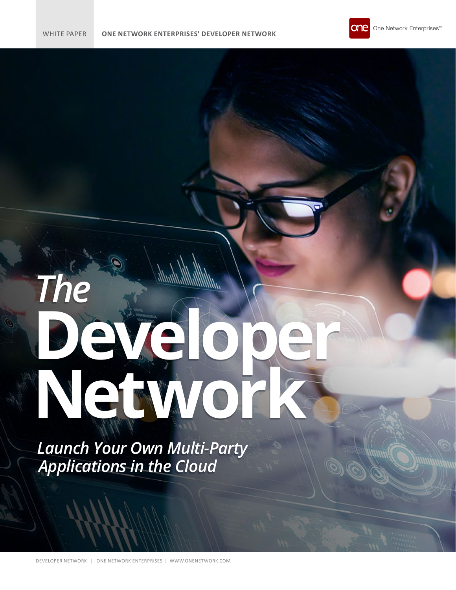# *The* **Developer Network**

*Launch Your Own Multi-Party Applications in the Cloud*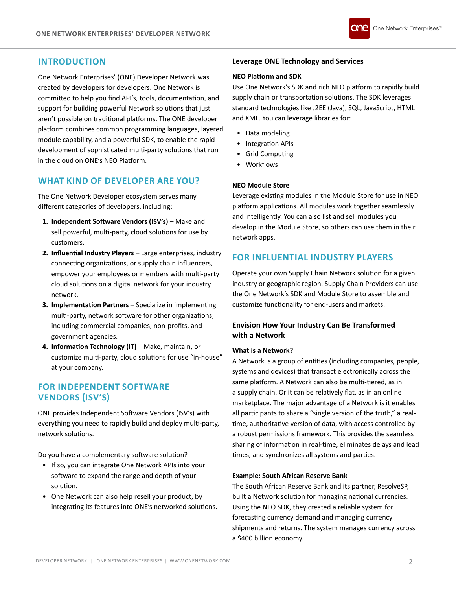# **INTRODUCTION**

One Network Enterprises' (ONE) Developer Network was created by developers for developers. One Network is committed to help you find API's, tools, documentation, and support for building powerful Network solutions that just aren't possible on traditional platforms. The ONE developer platform combines common programming languages, layered module capability, and a powerful SDK, to enable the rapid development of sophisticated multi-party solutions that run in the cloud on ONE's NEO Platform.

# **WHAT KIND OF DEVELOPER ARE YOU?**

The One Network Developer ecosystem serves many different categories of developers, including:

- **1. Independent Software Vendors (ISV's)** Make and sell powerful, multi-party, cloud solutions for use by customers.
- **2. Influential Industry Players** Large enterprises, industry connecting organizations, or supply chain influencers, empower your employees or members with multi-party cloud solutions on a digital network for your industry network.
- **3. Implementation Partners** Specialize in implementing multi-party, network software for other organizations, including commercial companies, non-profits, and government agencies.
- **4. Information Technology (IT)** Make, maintain, or customize multi-party, cloud solutions for use "in-house" at your company.

# **FOR INDEPENDENT SOFTWARE VENDORS (ISV'S)**

ONE provides Independent Software Vendors (ISV's) with everything you need to rapidly build and deploy multi-party, network solutions.

Do you have a complementary software solution?

- If so, you can integrate One Network APIs into your software to expand the range and depth of your solution.
- One Network can also help resell your product, by integrating its features into ONE's networked solutions.

# **Leverage ONE Technology and Services**

# **NEO Platform and SDK**

Use One Network's SDK and rich NEO platform to rapidly build supply chain or transportation solutions. The SDK leverages standard technologies like J2EE (Java), SQL, JavaScript, HTML and XML. You can leverage libraries for:

- Data modeling
- Integration APIs
- Grid Computing
- Workflows

# **NEO Module Store**

Leverage existing modules in the Module Store for use in NEO platform applications. All modules work together seamlessly and intelligently. You can also list and sell modules you develop in the Module Store, so others can use them in their network apps.

# **FOR INFLUENTIAL INDUSTRY PLAYERS**

Operate your own Supply Chain Network solution for a given industry or geographic region. Supply Chain Providers can use the One Network's SDK and Module Store to assemble and customize functionality for end-users and markets.

# **Envision How Your Industry Can Be Transformed with a Network**

# **What is a Network?**

A Network is a group of entities (including companies, people, systems and devices) that transact electronically across the same platform. A Network can also be multi-tiered, as in a supply chain. Or it can be relatively flat, as in an online marketplace. The major advantage of a Network is it enables all participants to share a "single version of the truth," a realtime, authoritative version of data, with access controlled by a robust permissions framework. This provides the seamless sharing of information in real-time, eliminates delays and lead times, and synchronizes all systems and parties.

# **Example: South African Reserve Bank**

The South African Reserve Bank and its partner, ResolveSP, built a Network solution for managing national currencies. Using the NEO SDK, they created a reliable system for forecasting currency demand and managing currency shipments and returns. The system manages currency across a \$400 billion economy.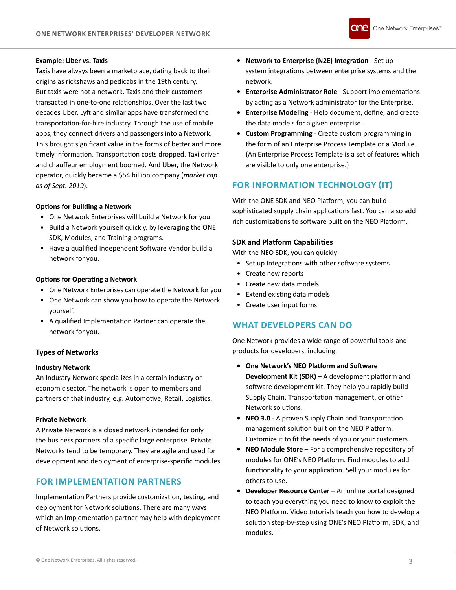

## **Example: Uber vs. Taxis**

Taxis have always been a marketplace, dating back to their origins as rickshaws and pedicabs in the 19th century. But taxis were not a network. Taxis and their customers transacted in one-to-one relationships. Over the last two decades Uber, Lyft and similar apps have transformed the transportation-for-hire industry. Through the use of mobile apps, they connect drivers and passengers into a Network. This brought significant value in the forms of better and more timely information. Transportation costs dropped. Taxi driver and chauffeur employment boomed. And Uber, the Network operator, quickly became a \$54 billion company (*market cap. as of Sept. 2019*).

# **Options for Building a Network**

- One Network Enterprises will build a Network for you.
- Build a Network yourself quickly, by leveraging the ONE SDK, Modules, and Training programs.
- Have a qualified Independent Software Vendor build a network for you.

### **Options for Operating a Network**

- One Network Enterprises can operate the Network for you.
- One Network can show you how to operate the Network yourself.
- A qualified Implementation Partner can operate the network for you.

# **Types of Networks**

# **Industry Network**

An Industry Network specializes in a certain industry or economic sector. The network is open to members and partners of that industry, e.g. Automotive, Retail, Logistics.

### **Private Network**

A Private Network is a closed network intended for only the business partners of a specific large enterprise. Private Networks tend to be temporary. They are agile and used for development and deployment of enterprise-specific modules.

# **FOR IMPLEMENTATION PARTNERS**

Implementation Partners provide customization, testing, and deployment for Network solutions. There are many ways which an Implementation partner may help with deployment of Network solutions.

- **• Network to Enterprise (N2E) Integration** Set up system integrations between enterprise systems and the network.
- **• Enterprise Administrator Role** Support implementations by acting as a Network administrator for the Enterprise.
- **• Enterprise Modeling** Help document, define, and create the data models for a given enterprise.
- **• Custom Programming** Create custom programming in the form of an Enterprise Process Template or a Module. (An Enterprise Process Template is a set of features which are visible to only one enterprise.)

# **FOR INFORMATION TECHNOLOGY (IT)**

With the ONE SDK and NEO Platform, you can build sophisticated supply chain applications fast. You can also add rich customizations to software built on the NEO Platform.

# **SDK and Platform Capabilities**

With the NEO SDK, you can quickly:

- Set up Integrations with other software systems
- Create new reports
- Create new data models
- Extend existing data models
- Create user input forms

# **WHAT DEVELOPERS CAN DO**

One Network provides a wide range of powerful tools and products for developers, including:

- **• One Network's NEO Platform and Software Development Kit (SDK)** – A development platform and software development kit. They help you rapidly build Supply Chain, Transportation management, or other Network solutions.
- **• NEO 3.0** A proven Supply Chain and Transportation management solution built on the NEO Platform. Customize it to fit the needs of you or your customers.
- **• NEO Module Store** For a comprehensive repository of modules for ONE's NEO Platform. Find modules to add functionality to your application. Sell your modules for others to use.
- **• Developer Resource Center** An online portal designed to teach you everything you need to know to exploit the NEO Platform. Video tutorials teach you how to develop a solution step-by-step using ONE's NEO Platform, SDK, and modules.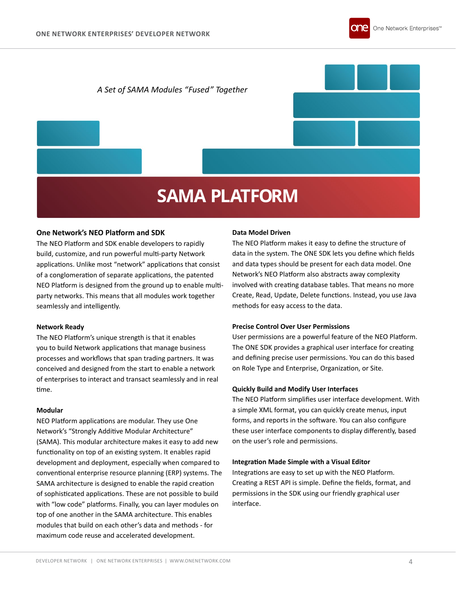

# *A Set of SAMA Modules "Fused" Together*

# **SAMA PLATFORM**

# **One Network's NEO Platform and SDK**

The NEO Platform and SDK enable developers to rapidly build, customize, and run powerful multi-party Network applications. Unlike most "network" applications that consist of a conglomeration of separate applications, the patented NEO Platform is designed from the ground up to enable multiparty networks. This means that all modules work together seamlessly and intelligently.

### **Network Ready**

The NEO Platform's unique strength is that it enables you to build Network applications that manage business processes and workflows that span trading partners. It was conceived and designed from the start to enable a network of enterprises to interact and transact seamlessly and in real time.

# **Modular**

NEO Platform applications are modular. They use One Network's "Strongly Additive Modular Architecture" (SAMA). This modular architecture makes it easy to add new functionality on top of an existing system. It enables rapid development and deployment, especially when compared to conventional enterprise resource planning (ERP) systems. The SAMA architecture is designed to enable the rapid creation of sophisticated applications. These are not possible to build with "low code" platforms. Finally, you can layer modules on top of one another in the SAMA architecture. This enables modules that build on each other's data and methods - for maximum code reuse and accelerated development.

### **Data Model Driven**

The NEO Platform makes it easy to define the structure of data in the system. The ONE SDK lets you define which fields and data types should be present for each data model. One Network's NEO Platform also abstracts away complexity involved with creating database tables. That means no more Create, Read, Update, Delete functions. Instead, you use Java methods for easy access to the data.

### **Precise Control Over User Permissions**

User permissions are a powerful feature of the NEO Platform. The ONE SDK provides a graphical user interface for creating and defining precise user permissions. You can do this based on Role Type and Enterprise, Organization, or Site.

### **Quickly Build and Modify User Interfaces**

The NEO Platform simplifies user interface development. With a simple XML format, you can quickly create menus, input forms, and reports in the software. You can also configure these user interface components to display differently, based on the user's role and permissions.

### **Integration Made Simple with a Visual Editor**

Integrations are easy to set up with the NEO Platform. Creating a REST API is simple. Define the fields, format, and permissions in the SDK using our friendly graphical user interface.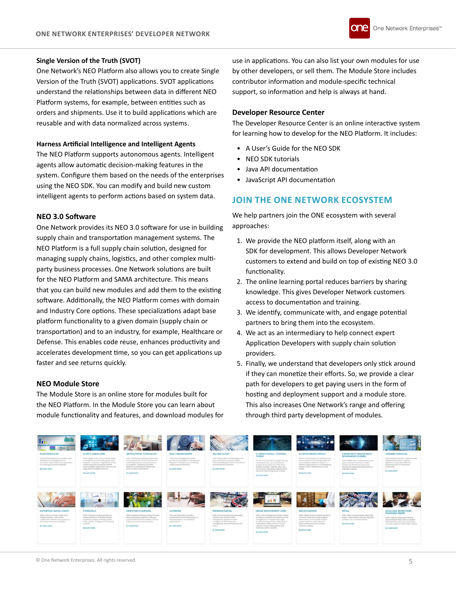# **Single Version of the Truth (SVOT)**

One Network's NEO Platform also allows you to create Single Version of the Truth (SVOT) applications. SVOT applications understand the relationships between data in different NEO Platform systems, for example, between entities such as orders and shipments. Use it to build applications which are reusable and with data normalized across systems.

# **Harness Artificial Intelligence and Intelligent Agents**

The NEO Platform supports autonomous agents. Intelligent agents allow automatic decision-making features in the system. Configure them based on the needs of the enterprises using the NEO SDK. You can modify and build new custom intelligent agents to perform actions based on system data.

# **NEO 3.0 Software**

One Network provides its NEO 3.0 software for use in building supply chain and transportation management systems. The NEO Platform is a full supply chain solution, designed for managing supply chains, logistics, and other complex multiparty business processes. One Network solutions are built for the NEO Platform and SAMA architecture. This means that you can build new modules and add them to the existing software. Additionally, the NEO Platform comes with domain and Industry Core options. These specializations adapt base platform functionality to a given domain (supply chain or transportation) and to an industry, for example, Healthcare or Defense. This enables code reuse, enhances productivity and accelerates development time, so you can get applications up faster and see returns quickly.

### **NEO Module Store**

The Module Store is an online store for modules built for the NEO Platform. In the Module Store you can learn about module functionality and features, and download modules for

use in applications. You can also list your own modules for use by other developers, or sell them. The Module Store includes contributor information and module-specific technical support, so information and help is always at hand.

# **Developer Resource Center**

The Developer Resource Center is an online interactive system for learning how to develop for the NEO Platform. It includes:

- A User's Guide for the NEO SDK
- NEO SDK tutorials
- Java API documentation
- JavaScript API documentation

# **JOIN THE ONE NETWORK ECOSYSTEM**

We help partners join the ONE ecosystem with several approaches:

- 1. We provide the NEO platform itself, along with an SDK for development. This allows Developer Network customers to extend and build on top of existing NEO 3.0 functionality.
- 2. The online learning portal reduces barriers by sharing knowledge. This gives Developer Network customers access to documentation and training.
- 3. We identify, communicate with, and engage potential partners to bring them into the ecosystem.
- 4. We act as an intermediary to help connect expert Application Developers with supply chain solution providers.
- 5. Finally, we understand that developers only stick around if they can monetize their efforts. So, we provide a clear path for developers to get paying users in the form of hosting and deployment support and a module store. This also increases One Network's range and offering through third party development of modules.